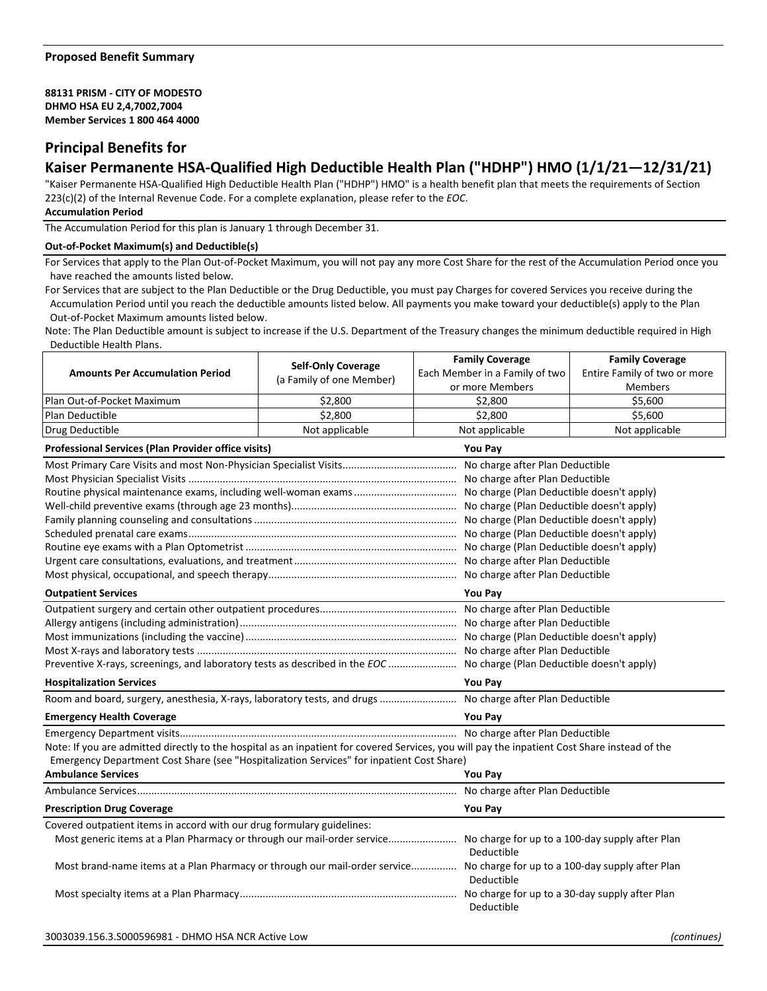### **88131 PRISM - CITY OF MODESTO DHMO HSA EU 2,4,7002,7004 Member Services 1 800 464 4000**

## **Principal Benefits for**

# **Kaiser Permanente HSA-Qualified High Deductible Health Plan ("HDHP") HMO (1/1/21—12/31/21)**

"Kaiser Permanente HSA-Qualified High Deductible Health Plan ("HDHP") HMO" is a health benefit plan that meets the requirements of Section 223(c)(2) of the Internal Revenue Code. For a complete explanation, please refer to the *EOC*.

### **Accumulation Period**

The Accumulation Period for this plan is January 1 through December 31.

### **Out-of-Pocket Maximum(s) and Deductible(s)**

For Services that apply to the Plan Out-of-Pocket Maximum, you will not pay any more Cost Share for the rest of the Accumulation Period once you have reached the amounts listed below.

For Services that are subject to the Plan Deductible or the Drug Deductible, you must pay Charges for covered Services you receive during the Accumulation Period until you reach the deductible amounts listed below. All payments you make toward your deductible(s) apply to the Plan Out-of-Pocket Maximum amounts listed below.

Note: The Plan Deductible amount is subject to increase if the U.S. Department of the Treasury changes the minimum deductible required in High Deductible Health Plans.

| or more Members<br><b>Members</b><br>Plan Out-of-Pocket Maximum<br>\$2,800<br>\$2,800<br>\$5,600<br>\$2.800<br>\$2,800<br>\$5,600<br>Plan Deductible<br>Drug Deductible<br>Not applicable<br>Not applicable<br>Not applicable<br><b>Professional Services (Plan Provider office visits)</b><br><b>You Pay</b><br>No charge after Plan Deductible<br>No charge (Plan Deductible doesn't apply)<br><b>Outpatient Services</b><br><b>You Pay</b><br>Preventive X-rays, screenings, and laboratory tests as described in the EOC  No charge (Plan Deductible doesn't apply)<br><b>Hospitalization Services</b><br><b>You Pay</b><br>Room and board, surgery, anesthesia, X-rays, laboratory tests, and drugs  No charge after Plan Deductible<br><b>You Pay</b><br><b>Emergency Health Coverage</b><br>Note: If you are admitted directly to the hospital as an inpatient for covered Services, you will pay the inpatient Cost Share instead of the<br>Emergency Department Cost Share (see "Hospitalization Services" for inpatient Cost Share)<br><b>Ambulance Services</b><br><b>You Pav</b><br>No charge after Plan Deductible | <b>Amounts Per Accumulation Period</b> | <b>Self-Only Coverage</b> | <b>Family Coverage</b><br>Each Member in a Family of two | <b>Family Coverage</b><br>Entire Family of two or more |  |
|---------------------------------------------------------------------------------------------------------------------------------------------------------------------------------------------------------------------------------------------------------------------------------------------------------------------------------------------------------------------------------------------------------------------------------------------------------------------------------------------------------------------------------------------------------------------------------------------------------------------------------------------------------------------------------------------------------------------------------------------------------------------------------------------------------------------------------------------------------------------------------------------------------------------------------------------------------------------------------------------------------------------------------------------------------------------------------------------------------------------------------|----------------------------------------|---------------------------|----------------------------------------------------------|--------------------------------------------------------|--|
|                                                                                                                                                                                                                                                                                                                                                                                                                                                                                                                                                                                                                                                                                                                                                                                                                                                                                                                                                                                                                                                                                                                                 |                                        | (a Family of one Member)  |                                                          |                                                        |  |
|                                                                                                                                                                                                                                                                                                                                                                                                                                                                                                                                                                                                                                                                                                                                                                                                                                                                                                                                                                                                                                                                                                                                 |                                        |                           |                                                          |                                                        |  |
|                                                                                                                                                                                                                                                                                                                                                                                                                                                                                                                                                                                                                                                                                                                                                                                                                                                                                                                                                                                                                                                                                                                                 |                                        |                           |                                                          |                                                        |  |
|                                                                                                                                                                                                                                                                                                                                                                                                                                                                                                                                                                                                                                                                                                                                                                                                                                                                                                                                                                                                                                                                                                                                 |                                        |                           |                                                          |                                                        |  |
|                                                                                                                                                                                                                                                                                                                                                                                                                                                                                                                                                                                                                                                                                                                                                                                                                                                                                                                                                                                                                                                                                                                                 |                                        |                           |                                                          |                                                        |  |
|                                                                                                                                                                                                                                                                                                                                                                                                                                                                                                                                                                                                                                                                                                                                                                                                                                                                                                                                                                                                                                                                                                                                 |                                        |                           |                                                          |                                                        |  |
|                                                                                                                                                                                                                                                                                                                                                                                                                                                                                                                                                                                                                                                                                                                                                                                                                                                                                                                                                                                                                                                                                                                                 |                                        |                           |                                                          |                                                        |  |
|                                                                                                                                                                                                                                                                                                                                                                                                                                                                                                                                                                                                                                                                                                                                                                                                                                                                                                                                                                                                                                                                                                                                 |                                        |                           |                                                          |                                                        |  |
|                                                                                                                                                                                                                                                                                                                                                                                                                                                                                                                                                                                                                                                                                                                                                                                                                                                                                                                                                                                                                                                                                                                                 |                                        |                           |                                                          |                                                        |  |
|                                                                                                                                                                                                                                                                                                                                                                                                                                                                                                                                                                                                                                                                                                                                                                                                                                                                                                                                                                                                                                                                                                                                 |                                        |                           |                                                          |                                                        |  |
|                                                                                                                                                                                                                                                                                                                                                                                                                                                                                                                                                                                                                                                                                                                                                                                                                                                                                                                                                                                                                                                                                                                                 |                                        |                           |                                                          |                                                        |  |
|                                                                                                                                                                                                                                                                                                                                                                                                                                                                                                                                                                                                                                                                                                                                                                                                                                                                                                                                                                                                                                                                                                                                 |                                        |                           |                                                          |                                                        |  |
|                                                                                                                                                                                                                                                                                                                                                                                                                                                                                                                                                                                                                                                                                                                                                                                                                                                                                                                                                                                                                                                                                                                                 |                                        |                           |                                                          |                                                        |  |
|                                                                                                                                                                                                                                                                                                                                                                                                                                                                                                                                                                                                                                                                                                                                                                                                                                                                                                                                                                                                                                                                                                                                 |                                        |                           |                                                          |                                                        |  |
|                                                                                                                                                                                                                                                                                                                                                                                                                                                                                                                                                                                                                                                                                                                                                                                                                                                                                                                                                                                                                                                                                                                                 |                                        |                           |                                                          |                                                        |  |
|                                                                                                                                                                                                                                                                                                                                                                                                                                                                                                                                                                                                                                                                                                                                                                                                                                                                                                                                                                                                                                                                                                                                 |                                        |                           |                                                          |                                                        |  |
|                                                                                                                                                                                                                                                                                                                                                                                                                                                                                                                                                                                                                                                                                                                                                                                                                                                                                                                                                                                                                                                                                                                                 |                                        |                           |                                                          |                                                        |  |
|                                                                                                                                                                                                                                                                                                                                                                                                                                                                                                                                                                                                                                                                                                                                                                                                                                                                                                                                                                                                                                                                                                                                 |                                        |                           |                                                          |                                                        |  |
|                                                                                                                                                                                                                                                                                                                                                                                                                                                                                                                                                                                                                                                                                                                                                                                                                                                                                                                                                                                                                                                                                                                                 |                                        |                           |                                                          |                                                        |  |
|                                                                                                                                                                                                                                                                                                                                                                                                                                                                                                                                                                                                                                                                                                                                                                                                                                                                                                                                                                                                                                                                                                                                 |                                        |                           |                                                          |                                                        |  |
|                                                                                                                                                                                                                                                                                                                                                                                                                                                                                                                                                                                                                                                                                                                                                                                                                                                                                                                                                                                                                                                                                                                                 |                                        |                           |                                                          |                                                        |  |
|                                                                                                                                                                                                                                                                                                                                                                                                                                                                                                                                                                                                                                                                                                                                                                                                                                                                                                                                                                                                                                                                                                                                 |                                        |                           |                                                          |                                                        |  |
|                                                                                                                                                                                                                                                                                                                                                                                                                                                                                                                                                                                                                                                                                                                                                                                                                                                                                                                                                                                                                                                                                                                                 |                                        |                           |                                                          |                                                        |  |
|                                                                                                                                                                                                                                                                                                                                                                                                                                                                                                                                                                                                                                                                                                                                                                                                                                                                                                                                                                                                                                                                                                                                 |                                        |                           |                                                          |                                                        |  |
|                                                                                                                                                                                                                                                                                                                                                                                                                                                                                                                                                                                                                                                                                                                                                                                                                                                                                                                                                                                                                                                                                                                                 |                                        |                           |                                                          |                                                        |  |
|                                                                                                                                                                                                                                                                                                                                                                                                                                                                                                                                                                                                                                                                                                                                                                                                                                                                                                                                                                                                                                                                                                                                 |                                        |                           |                                                          |                                                        |  |
|                                                                                                                                                                                                                                                                                                                                                                                                                                                                                                                                                                                                                                                                                                                                                                                                                                                                                                                                                                                                                                                                                                                                 |                                        |                           |                                                          |                                                        |  |
| <b>You Pay</b><br><b>Prescription Drug Coverage</b>                                                                                                                                                                                                                                                                                                                                                                                                                                                                                                                                                                                                                                                                                                                                                                                                                                                                                                                                                                                                                                                                             |                                        |                           |                                                          |                                                        |  |
| Covered outpatient items in accord with our drug formulary guidelines:                                                                                                                                                                                                                                                                                                                                                                                                                                                                                                                                                                                                                                                                                                                                                                                                                                                                                                                                                                                                                                                          |                                        |                           |                                                          |                                                        |  |
| Most generic items at a Plan Pharmacy or through our mail-order service No charge for up to a 100-day supply after Plan<br>Deductible                                                                                                                                                                                                                                                                                                                                                                                                                                                                                                                                                                                                                                                                                                                                                                                                                                                                                                                                                                                           |                                        |                           |                                                          |                                                        |  |
| Most brand-name items at a Plan Pharmacy or through our mail-order service No charge for up to a 100-day supply after Plan<br>Deductible                                                                                                                                                                                                                                                                                                                                                                                                                                                                                                                                                                                                                                                                                                                                                                                                                                                                                                                                                                                        |                                        |                           |                                                          |                                                        |  |
| Deductible                                                                                                                                                                                                                                                                                                                                                                                                                                                                                                                                                                                                                                                                                                                                                                                                                                                                                                                                                                                                                                                                                                                      |                                        |                           |                                                          |                                                        |  |